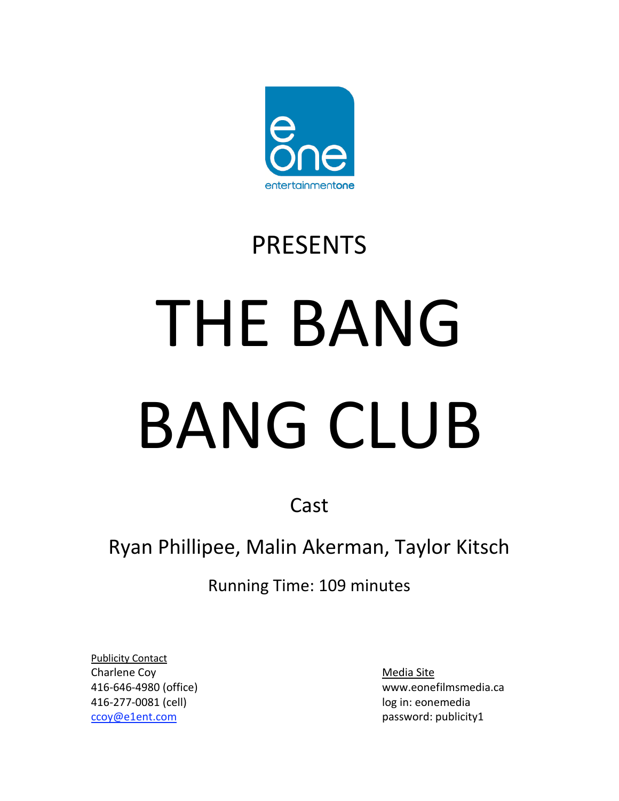

## PRESENTS

# THE BANG BANG CLUB

Cast

### Ryan Phillipee, Malin Akerman, Taylor Kitsch

Running Time: 109 minutes

Publicity Contact Charlene Coy **Media** Site 416‐277‐0081 (cell) log in: eonemedia [ccoy@e1ent.com](mailto:ccoy@e1ent.com) password: publicity1

416‐646‐4980 (office) www.eonefilmsmedia.ca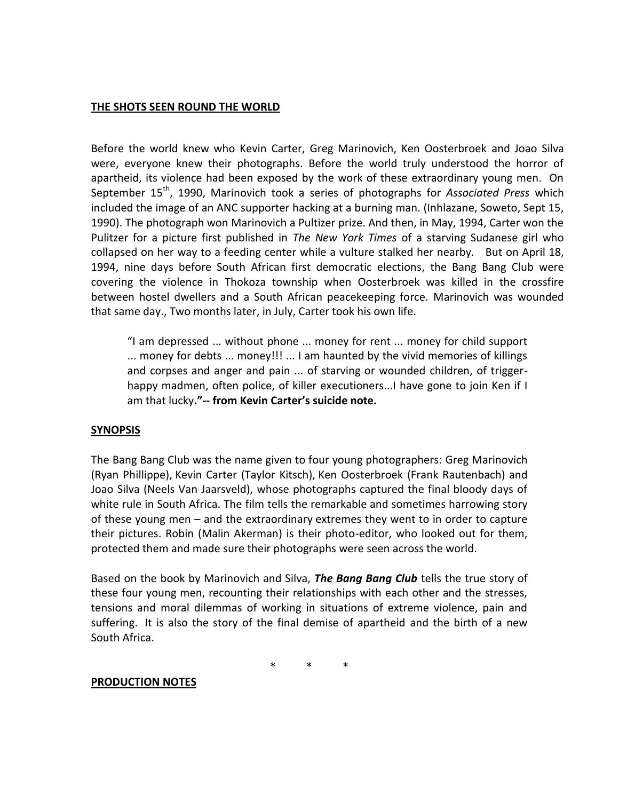#### **THE SHOTS SEEN ROUND THE WORLD**

Before the world knew who Kevin Carter, Greg Marinovich, Ken Oosterbroek and Joao Silva were, everyone knew their photographs. Before the world truly understood the horror of apartheid, its violence had been exposed by the work of these extraordinary young men. On September 15<sup>th</sup>, 1990, Marinovich took a series of photographs for *Associated Press* which included the image of an ANC supporter hacking at a burning man. (Inhlazane, Soweto, Sept 15, 1990). The photograph won Marinovich a Pultizer prize. And then, in May, 1994, Carter won the Pulitzer for a picture first published in *The New York Times* of a starving Sudanese girl who collapsed on her way to a feeding center while a vulture stalked her nearby. But on April 18, 1994, nine days before South African first democratic elections, the Bang Bang Club were covering the violence in Thokoza township when Oosterbroek was killed in the crossfire between hostel dwellers and a South African peacekeeping force. Marinovich was wounded that same day., Two months later, in July, Carter took his own life.

!I am depressed ... without phone ... money for rent ... money for child support ... money for debts ... money!!! ... I am haunted by the vivid memories of killings and corpses and anger and pain ... of starving or wounded children, of trigger‐ happy madmen, often police, of killer executioners...I have gone to join Ken if I am that lucky**."‐‐ from Kevin Carter's suicide note.**

#### **SYNOPSIS**

The Bang Bang Club was the name given to four young photographers: Greg Marinovich (Ryan Phillippe), Kevin Carter (Taylor Kitsch), Ken Oosterbroek (Frank Rautenbach) and Joao Silva (Neels Van Jaarsveld), whose photographs captured the final bloody days of white rule in South Africa. The film tells the remarkable and sometimes harrowing story of these young men - and the extraordinary extremes they went to in order to capture their pictures. Robin (Malin Akerman) is their photo‐editor, who looked out for them, protected them and made sure their photographs were seen across the world.

Based on the book by Marinovich and Silva, *The Bang Bang Club* tells the true story of these four young men, recounting their relationships with each other and the stresses, tensions and moral dilemmas of working in situations of extreme violence, pain and suffering. It is also the story of the final demise of apartheid and the birth of a new South Africa.

\* \* \*

#### **PRODUCTION NOTES**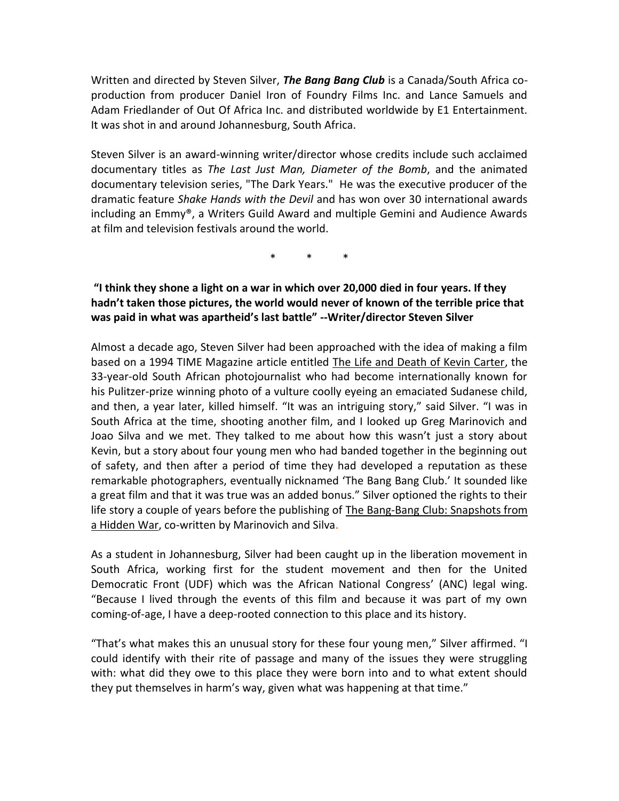Written and directed by Steven Silver, The Bang Bang Club is a Canada/South Africa coproduction from producer Daniel Iron of Foundry Films Inc. and Lance Samuels and Adam Friedlander of Out Of Africa Inc. and distributed worldwide by E1 Entertainment. It was shot in and around Johannesburg, South Africa.

Steven Silver is an award-winning writer/director whose credits include such acclaimed documentary titles as The Last Just Man, Diameter of the Bomb, and the animated documentary television series, "The Dark Years." He was the executive producer of the dramatic feature Shake Hands with the Devil and has won over 30 international awards including an Emmy®, a Writers Guild Award and multiple Gemini and Audience Awards at film and television festivals around the world.

#### "I think they shone a light on a war in which over 20,000 died in four years. If they hadn't taken those pictures, the world would never of known of the terrible price that was paid in what was apartheid's last battle" --Writer/director Steven Silver

Almost a decade ago, Steven Silver had been approached with the idea of making a film based on a 1994 TIME Magazine article entitled The Life and Death of Kevin Carter, the 33-year-old South African photojournalist who had become internationally known for his Pulitzer-prize winning photo of a vulture coolly eveing an emaciated Sudanese child, and then, a year later, killed himself. "It was an intriguing story," said Silver. "I was in South Africa at the time, shooting another film, and I looked up Greg Marinovich and Joao Silva and we met. They talked to me about how this wasn't just a story about Kevin, but a story about four young men who had banded together in the beginning out of safety, and then after a period of time they had developed a reputation as these remarkable photographers, eventually nicknamed 'The Bang Bang Club.' It sounded like a great film and that it was true was an added bonus." Silver optioned the rights to their life story a couple of years before the publishing of The Bang-Bang Club: Snapshots from a Hidden War, co-written by Marinovich and Silva.

As a student in Johannesburg, Silver had been caught up in the liberation movement in South Africa, working first for the student movement and then for the United Democratic Front (UDF) which was the African National Congress' (ANC) legal wing. "Because I lived through the events of this film and because it was part of my own coming-of-age, I have a deep-rooted connection to this place and its history.

"That's what makes this an unusual story for these four young men," Silver affirmed. "I could identify with their rite of passage and many of the issues they were struggling with: what did they owe to this place they were born into and to what extent should they put themselves in harm's way, given what was happening at that time."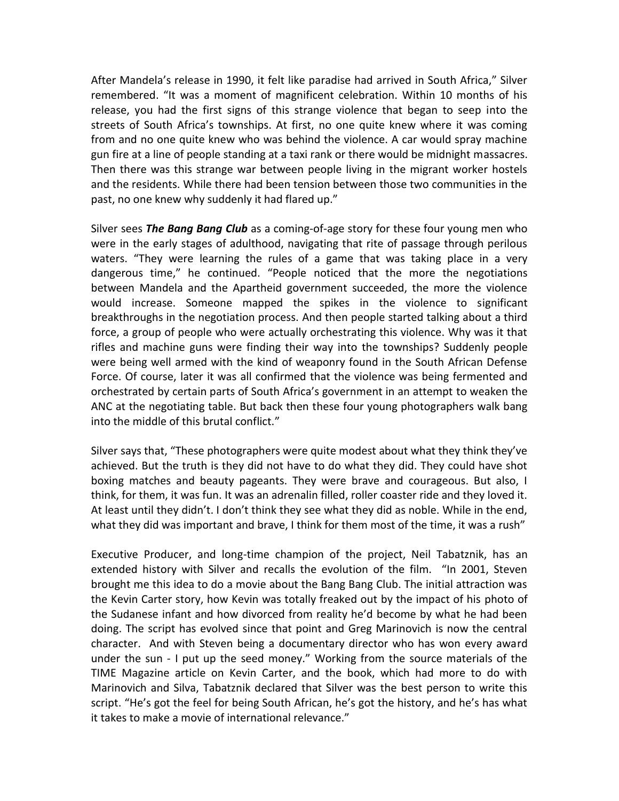After Mandela's release in 1990, it felt like paradise had arrived in South Africa," Silver remembered. "It was a moment of magnificent celebration. Within 10 months of his release, you had the first signs of this strange violence that began to seep into the streets of South Africa's townships. At first, no one quite knew where it was coming from and no one quite knew who was behind the violence. A car would spray machine gun fire at a line of people standing at a taxi rank or there would be midnight massacres. Then there was this strange war between people living in the migrant worker hostels and the residents. While there had been tension between those two communities in the past, no one knew why suddenly it had flared up."

Silver sees The Bang Bang Club as a coming-of-age story for these four young men who were in the early stages of adulthood, navigating that rite of passage through perilous waters. "They were learning the rules of a game that was taking place in a very dangerous time," he continued. "People noticed that the more the negotiations between Mandela and the Apartheid government succeeded, the more the violence would increase. Someone mapped the spikes in the violence to significant breakthroughs in the negotiation process. And then people started talking about a third force, a group of people who were actually orchestrating this violence. Why was it that rifles and machine guns were finding their way into the townships? Suddenly people were being well armed with the kind of weaponry found in the South African Defense Force. Of course, later it was all confirmed that the violence was being fermented and orchestrated by certain parts of South Africa's government in an attempt to weaken the ANC at the negotiating table. But back then these four young photographers walk bang into the middle of this brutal conflict."

Silver says that, "These photographers were quite modest about what they think they've achieved. But the truth is they did not have to do what they did. They could have shot boxing matches and beauty pageants. They were brave and courageous. But also, I think, for them, it was fun. It was an adrenalin filled, roller coaster ride and they loved it. At least until they didn't. I don't think they see what they did as noble. While in the end, what they did was important and brave, I think for them most of the time, it was a rush"

Executive Producer, and long-time champion of the project, Neil Tabatznik, has an extended history with Silver and recalls the evolution of the film. "In 2001, Steven brought me this idea to do a movie about the Bang Bang Club. The initial attraction was the Kevin Carter story, how Kevin was totally freaked out by the impact of his photo of the Sudanese infant and how divorced from reality he'd become by what he had been doing. The script has evolved since that point and Greg Marinovich is now the central character. And with Steven being a documentary director who has won every award under the sun - I put up the seed money." Working from the source materials of the TIME Magazine article on Kevin Carter, and the book, which had more to do with Marinovich and Silva, Tabatznik declared that Silver was the best person to write this script. "He's got the feel for being South African, he's got the history, and he's has what it takes to make a movie of international relevance."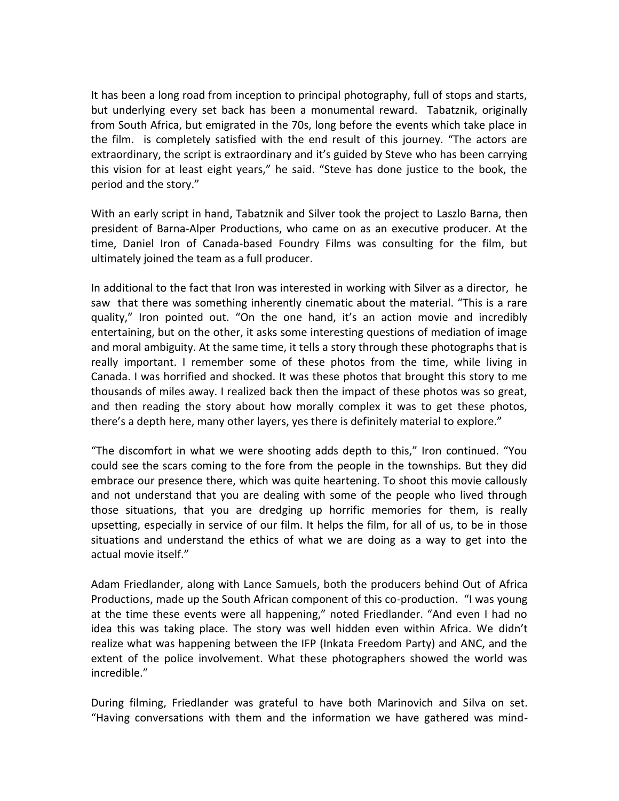It has been a long road from inception to principal photography, full of stops and starts, but underlying every set back has been a monumental reward. Tabatznik, originally from South Africa, but emigrated in the 70s, long before the events which take place in the film. is completely satisfied with the end result of this journey. "The actors are extraordinary, the script is extraordinary and it's guided by Steve who has been carrying this vision for at least eight years," he said. "Steve has done justice to the book, the period and the story."

With an early script in hand, Tabatznik and Silver took the project to Laszlo Barna, then president of Barna-Alper Productions, who came on as an executive producer. At the time, Daniel Iron of Canada-based Foundry Films was consulting for the film, but ultimately joined the team as a full producer.

In additional to the fact that Iron was interested in working with Silver as a director, he saw that there was something inherently cinematic about the material. "This is a rare quality," Iron pointed out. "On the one hand, it's an action movie and incredibly entertaining, but on the other, it asks some interesting questions of mediation of image and moral ambiguity. At the same time, it tells a story through these photographs that is really important. I remember some of these photos from the time, while living in Canada. I was horrified and shocked. It was these photos that brought this story to me thousands of miles away. I realized back then the impact of these photos was so great, and then reading the story about how morally complex it was to get these photos, there's a depth here, many other layers, yes there is definitely material to explore."

"The discomfort in what we were shooting adds depth to this," Iron continued. "You could see the scars coming to the fore from the people in the townships. But they did embrace our presence there, which was quite heartening. To shoot this movie callously and not understand that you are dealing with some of the people who lived through those situations, that you are dredging up horrific memories for them, is really upsetting, especially in service of our film. It helps the film, for all of us, to be in those situations and understand the ethics of what we are doing as a way to get into the actual movie itself."

Adam Friedlander, along with Lance Samuels, both the producers behind Out of Africa Productions, made up the South African component of this co-production. "I was young at the time these events were all happening," noted Friedlander. "And even I had no idea this was taking place. The story was well hidden even within Africa. We didn't realize what was happening between the IFP (Inkata Freedom Party) and ANC, and the extent of the police involvement. What these photographers showed the world was incredible."

During filming, Friedlander was grateful to have both Marinovich and Silva on set. "Having conversations with them and the information we have gathered was mind-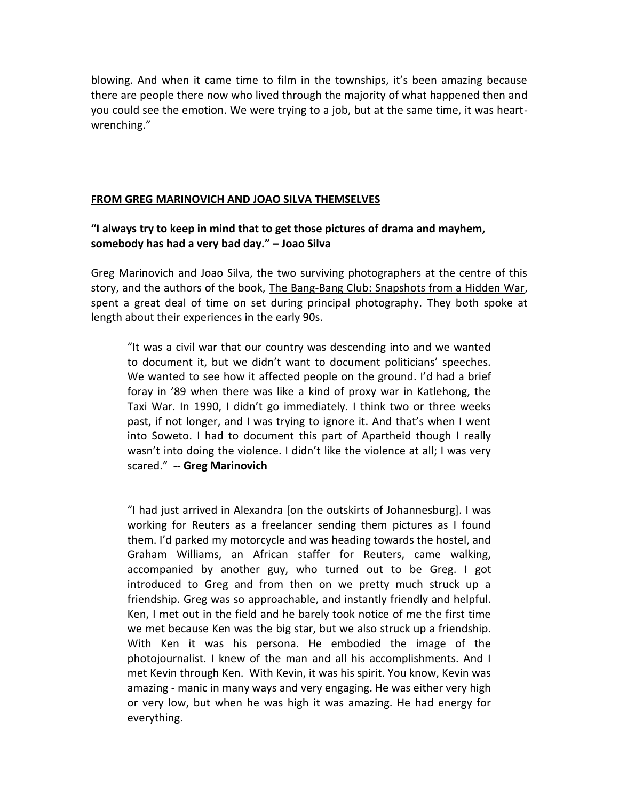blowing. And when it came time to film in the townships, it's been amazing because there are people there now who lived through the majority of what happened then and you could see the emotion. We were trying to a job, but at the same time, it was heartwrenching."

#### FROM GREG MARINOVICH AND JOAO SILVA THEMSELVES

#### "I always try to keep in mind that to get those pictures of drama and mayhem, somebody has had a very bad day." - Joao Silva

Greg Marinovich and Joao Silva, the two surviving photographers at the centre of this story, and the authors of the book, The Bang-Bang Club: Snapshots from a Hidden War, spent a great deal of time on set during principal photography. They both spoke at length about their experiences in the early 90s.

"It was a civil war that our country was descending into and we wanted to document it, but we didn't want to document politicians' speeches. We wanted to see how it affected people on the ground. I'd had a brief foray in '89 when there was like a kind of proxy war in Katlehong, the Taxi War. In 1990, I didn't go immediately. I think two or three weeks past, if not longer, and I was trying to ignore it. And that's when I went into Soweto. I had to document this part of Apartheid though I really wasn't into doing the violence. I didn't like the violence at all; I was very scared." -- Greg Marinovich

"I had just arrived in Alexandra [on the outskirts of Johannesburg]. I was working for Reuters as a freelancer sending them pictures as I found them. I'd parked my motorcycle and was heading towards the hostel, and Graham Williams, an African staffer for Reuters, came walking, accompanied by another guy, who turned out to be Greg. I got introduced to Greg and from then on we pretty much struck up a friendship. Greg was so approachable, and instantly friendly and helpful. Ken, I met out in the field and he barely took notice of me the first time we met because Ken was the big star, but we also struck up a friendship. With Ken it was his persona. He embodied the image of the photojournalist. I knew of the man and all his accomplishments. And I met Kevin through Ken. With Kevin, it was his spirit. You know, Kevin was amazing - manic in many ways and very engaging. He was either very high or very low, but when he was high it was amazing. He had energy for everything.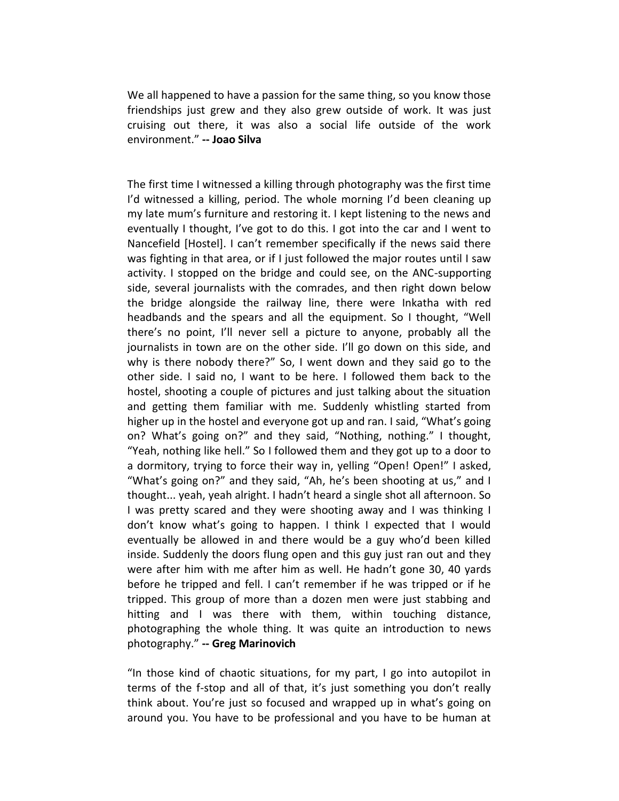We all happened to have a passion for the same thing, so you know those friendships just grew and they also grew outside of work. It was just cruising out there, it was also a social life outside of the work environment." -- Joao Silva

The first time I witnessed a killing through photography was the first time I'd witnessed a killing, period. The whole morning I'd been cleaning up my late mum's furniture and restoring it. I kept listening to the news and eventually I thought, I've got to do this. I got into the car and I went to Nancefield [Hostel]. I can't remember specifically if the news said there was fighting in that area, or if I just followed the major routes until I saw activity. I stopped on the bridge and could see, on the ANC-supporting side, several journalists with the comrades, and then right down below the bridge alongside the railway line, there were Inkatha with red headbands and the spears and all the equipment. So I thought, "Well there's no point, I'll never sell a picture to anyone, probably all the journalists in town are on the other side. I'll go down on this side, and why is there nobody there?" So, I went down and they said go to the other side. I said no, I want to be here. I followed them back to the hostel, shooting a couple of pictures and just talking about the situation and getting them familiar with me. Suddenly whistling started from higher up in the hostel and everyone got up and ran. I said, "What's going on? What's going on?" and they said, "Nothing, nothing." I thought, "Yeah, nothing like hell." So I followed them and they got up to a door to a dormitory, trying to force their way in, yelling "Open! Open!" I asked, "What's going on?" and they said, "Ah, he's been shooting at us," and I thought... yeah, yeah alright. I hadn't heard a single shot all afternoon. So I was pretty scared and they were shooting away and I was thinking I don't know what's going to happen. I think I expected that I would eventually be allowed in and there would be a guy who'd been killed inside. Suddenly the doors flung open and this guy just ran out and they were after him with me after him as well. He hadn't gone 30, 40 yards before he tripped and fell. I can't remember if he was tripped or if he tripped. This group of more than a dozen men were just stabbing and hitting and I was there with them, within touching distance, photographing the whole thing. It was quite an introduction to news photography." -- Greg Marinovich

"In those kind of chaotic situations, for my part, I go into autopilot in terms of the f-stop and all of that, it's just something you don't really think about. You're just so focused and wrapped up in what's going on around you. You have to be professional and you have to be human at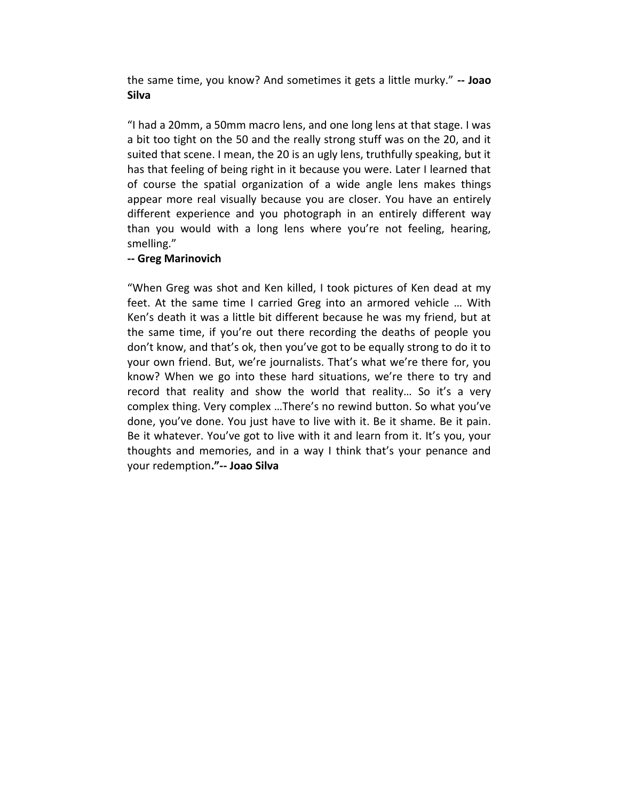the same time, you know? And sometimes it gets a little murky." -- Joao **Silva** 

"I had a 20mm, a 50mm macro lens, and one long lens at that stage. I was a bit too tight on the 50 and the really strong stuff was on the 20, and it suited that scene. I mean, the 20 is an ugly lens, truthfully speaking, but it has that feeling of being right in it because you were. Later I learned that of course the spatial organization of a wide angle lens makes things appear more real visually because you are closer. You have an entirely different experience and you photograph in an entirely different way than you would with a long lens where you're not feeling, hearing, smelling."

#### -- Greg Marinovich

"When Greg was shot and Ken killed, I took pictures of Ken dead at my feet. At the same time I carried Greg into an armored vehicle ... With Ken's death it was a little bit different because he was my friend, but at the same time, if you're out there recording the deaths of people you don't know, and that's ok, then you've got to be equally strong to do it to your own friend. But, we're journalists. That's what we're there for, you know? When we go into these hard situations, we're there to try and record that reality and show the world that reality... So it's a very complex thing. Very complex ...There's no rewind button. So what you've done, you've done. You just have to live with it. Be it shame. Be it pain. Be it whatever. You've got to live with it and learn from it. It's you, your thoughts and memories, and in a way I think that's your penance and your redemption."-- Joao Silva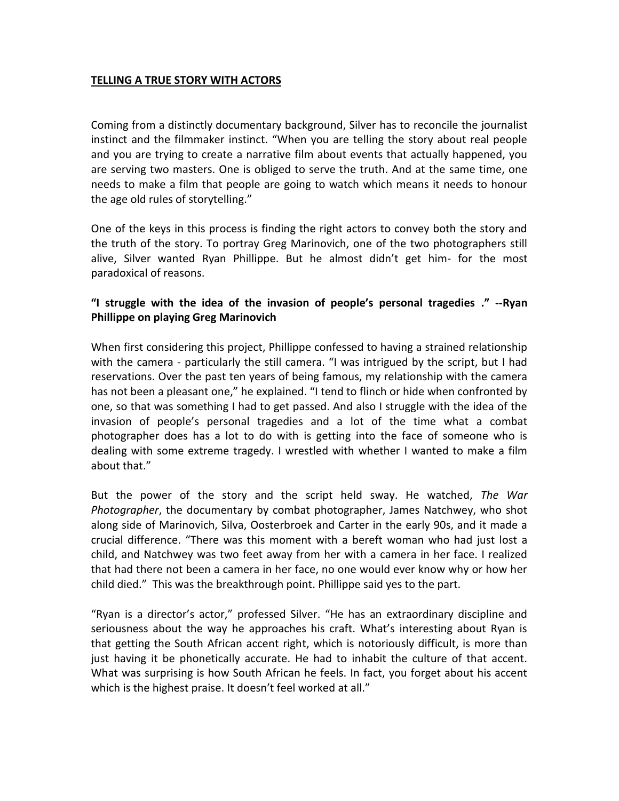#### **TELLING A TRUE STORY WITH ACTORS**

Coming from a distinctly documentary background, Silver has to reconcile the journalist instinct and the filmmaker instinct. "When you are telling the story about real people and you are trying to create a narrative film about events that actually happened, you are serving two masters. One is obliged to serve the truth. And at the same time, one needs to make a film that people are going to watch which means it needs to honour the age old rules of storytelling."

One of the keys in this process is finding the right actors to convey both the story and the truth of the story. To portray Greg Marinovich, one of the two photographers still alive, Silver wanted Ryan Phillippe. But he almost didn't get him- for the most paradoxical of reasons.

#### "I struggle with the idea of the invasion of people's personal tragedies ." --Ryan **Phillippe on playing Greg Marinovich**

When first considering this project, Phillippe confessed to having a strained relationship with the camera - particularly the still camera. "I was intrigued by the script, but I had reservations. Over the past ten years of being famous, my relationship with the camera has not been a pleasant one," he explained. "I tend to flinch or hide when confronted by one, so that was something I had to get passed. And also I struggle with the idea of the invasion of people's personal tragedies and a lot of the time what a combat photographer does has a lot to do with is getting into the face of someone who is dealing with some extreme tragedy. I wrestled with whether I wanted to make a film about that."

But the power of the story and the script held sway. He watched, The War *Photographer*, the documentary by combat photographer, James Natchwey, who shot along side of Marinovich, Silva, Oosterbroek and Carter in the early 90s, and it made a crucial difference. "There was this moment with a bereft woman who had just lost a child, and Natchwey was two feet away from her with a camera in her face. I realized that had there not been a camera in her face, no one would ever know why or how her child died." This was the breakthrough point. Phillippe said yes to the part.

"Ryan is a director's actor," professed Silver. "He has an extraordinary discipline and seriousness about the way he approaches his craft. What's interesting about Ryan is that getting the South African accent right, which is notoriously difficult, is more than just having it be phonetically accurate. He had to inhabit the culture of that accent. What was surprising is how South African he feels. In fact, you forget about his accent which is the highest praise. It doesn't feel worked at all."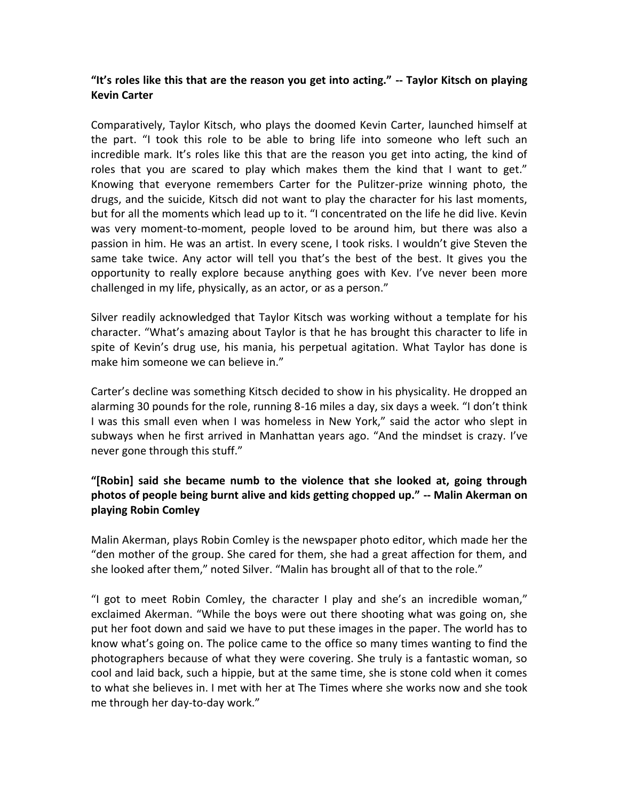#### "It's roles like this that are the reason you get into acting." -- Taylor Kitsch on playing **Kevin Carter**

Comparatively, Taylor Kitsch, who plays the doomed Kevin Carter, launched himself at the part. "I took this role to be able to bring life into someone who left such an incredible mark. It's roles like this that are the reason you get into acting, the kind of roles that you are scared to play which makes them the kind that I want to get." Knowing that everyone remembers Carter for the Pulitzer-prize winning photo, the drugs, and the suicide, Kitsch did not want to play the character for his last moments, but for all the moments which lead up to it. "I concentrated on the life he did live. Kevin was very moment-to-moment, people loved to be around him, but there was also a passion in him. He was an artist. In every scene, I took risks. I wouldn't give Steven the same take twice. Any actor will tell you that's the best of the best. It gives you the opportunity to really explore because anything goes with Kev. I've never been more challenged in my life, physically, as an actor, or as a person."

Silver readily acknowledged that Taylor Kitsch was working without a template for his character. "What's amazing about Taylor is that he has brought this character to life in spite of Kevin's drug use, his mania, his perpetual agitation. What Taylor has done is make him someone we can believe in."

Carter's decline was something Kitsch decided to show in his physicality. He dropped an alarming 30 pounds for the role, running 8-16 miles a day, six days a week. "I don't think I was this small even when I was homeless in New York," said the actor who slept in subways when he first arrived in Manhattan years ago. "And the mindset is crazy. I've never gone through this stuff."

#### "[Robin] said she became numb to the violence that she looked at, going through photos of people being burnt alive and kids getting chopped up." -- Malin Akerman on playing Robin Comley

Malin Akerman, plays Robin Comley is the newspaper photo editor, which made her the "den mother of the group. She cared for them, she had a great affection for them, and she looked after them," noted Silver. "Malin has brought all of that to the role."

"I got to meet Robin Comley, the character I play and she's an incredible woman," exclaimed Akerman. "While the boys were out there shooting what was going on, she put her foot down and said we have to put these images in the paper. The world has to know what's going on. The police came to the office so many times wanting to find the photographers because of what they were covering. She truly is a fantastic woman, so cool and laid back, such a hippie, but at the same time, she is stone cold when it comes to what she believes in. I met with her at The Times where she works now and she took me through her day-to-day work."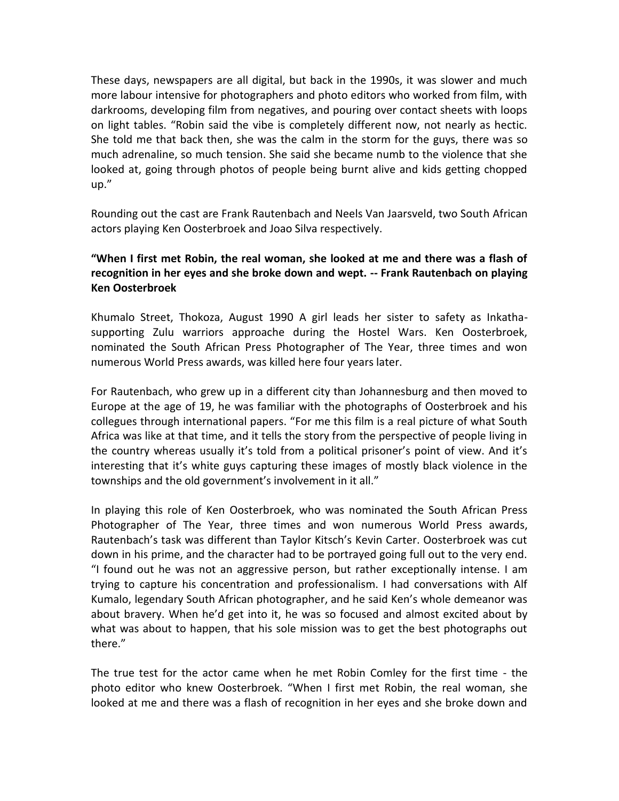These days, newspapers are all digital, but back in the 1990s, it was slower and much more labour intensive for photographers and photo editors who worked from film, with darkrooms, developing film from negatives, and pouring over contact sheets with loops on light tables. "Robin said the vibe is completely different now, not nearly as hectic. She told me that back then, she was the calm in the storm for the guys, there was so much adrenaline, so much tension. She said she became numb to the violence that she looked at, going through photos of people being burnt alive and kids getting chopped  $up.'$ 

Rounding out the cast are Frank Rautenbach and Neels Van Jaarsveld, two South African actors playing Ken Oosterbroek and Joao Silva respectively.

#### **"When I first met Robin, the real woman, she looked at me and there was a flash of recognition in her eyes and she broke down and wept. ‐‐ Frank Rautenbach on playing Ken Oosterbroek**

Khumalo Street, Thokoza, August 1990 A girl leads her sister to safety as Inkathasupporting Zulu warriors approache during the Hostel Wars. Ken Oosterbroek, nominated the South African Press Photographer of The Year, three times and won numerous World Press awards, was killed here four years later.

For Rautenbach, who grew up in a different city than Johannesburg and then moved to Europe at the age of 19, he was familiar with the photographs of Oosterbroek and his collegues through international papers. "For me this film is a real picture of what South Africa was like at that time, and it tells the story from the perspective of people living in the country whereas usually it's told from a political prisoner's point of view. And it's interesting that it's white guys capturing these images of mostly black violence in the townships and the old government's involvement in it all."

In playing this role of Ken Oosterbroek, who was nominated the South African Press Photographer of The Year, three times and won numerous World Press awards, Rautenbach's task was different than Taylor Kitsch's Kevin Carter. Oosterbroek was cut down in his prime, and the character had to be portrayed going full out to the very end. "I found out he was not an aggressive person, but rather exceptionally intense. I am trying to capture his concentration and professionalism. I had conversations with Alf Kumalo, legendary South African photographer, and he said Ken's whole demeanor was about bravery. When he'd get into it, he was so focused and almost excited about by what was about to happen, that his sole mission was to get the best photographs out there."

The true test for the actor came when he met Robin Comley for the first time ‐ the photo editor who knew Oosterbroek. "When I first met Robin, the real woman, she looked at me and there was a flash of recognition in her eyes and she broke down and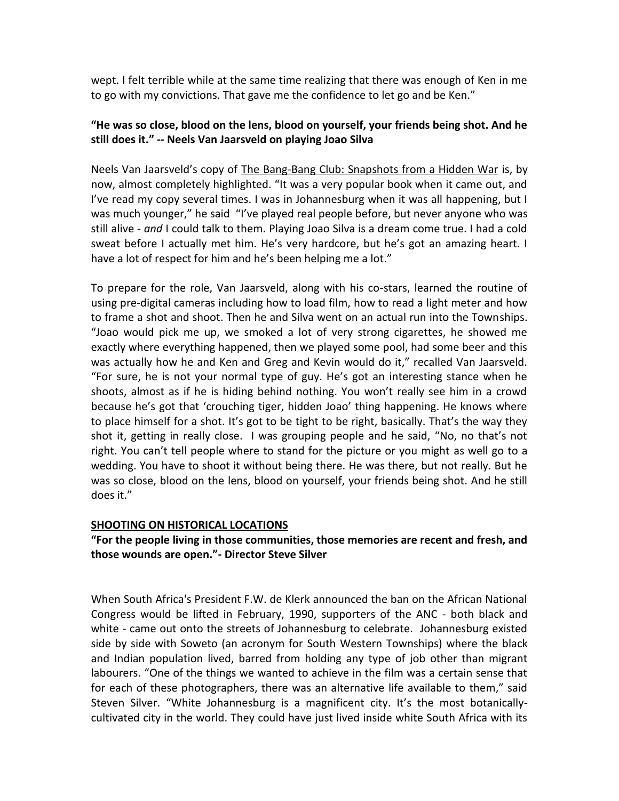wept. I felt terrible while at the same time realizing that there was enough of Ken in me to go with my convictions. That gave me the confidence to let go and be Ken."

#### **"He was so close, blood on the lens, blood on yourself, your friends being shot. And he still does it." ‐‐ Neels Van Jaarsveld on playing Joao Silva**

Neels Van Jaarsveld's copy of The Bang-Bang Club: Snapshots from a Hidden War is, by now, almost completely highlighted. "It was a very popular book when it came out, and I've read my copy several times. I was in Johannesburg when it was all happening, but I was much younger," he said "I've played real people before, but never anyone who was still alive ‐ *and* I could talk to them. Playing Joao Silva is a dream come true. I had a cold sweat before I actually met him. He's very hardcore, but he's got an amazing heart. I have a lot of respect for him and he's been helping me a lot."

To prepare for the role, Van Jaarsveld, along with his co‐stars, learned the routine of using pre‐digital cameras including how to load film, how to read a light meter and how to frame a shot and shoot. Then he and Silva went on an actual run into the Townships. "Joao would pick me up, we smoked a lot of very strong cigarettes, he showed me exactly where everything happened, then we played some pool, had some beer and this was actually how he and Ken and Greg and Kevin would do it," recalled Van Jaarsveld. "For sure, he is not your normal type of guy. He's got an interesting stance when he shoots, almost as if he is hiding behind nothing. You won't really see him in a crowd because he's got that 'crouching tiger, hidden Joao' thing happening. He knows where to place himself for a shot. It's got to be tight to be right, basically. That's the way they shot it, getting in really close. I was grouping people and he said, "No, no that's not right. You can't tell people where to stand for the picture or you might as well go to a wedding. You have to shoot it without being there. He was there, but not really. But he was so close, blood on the lens, blood on yourself, your friends being shot. And he still does it."

#### **SHOOTING ON HISTORICAL LOCATIONS**

#### **"For the people living in those communities, those memories are recent and fresh, and those wounds are open."‐ Director Steve Silver**

When South Africa's President F.W. de Klerk announced the ban on the African National Congress would be lifted in February, 1990, supporters of the ANC ‐ both black and white - came out onto the streets of Johannesburg to celebrate. Johannesburg existed side by side with Soweto (an acronym for South Western Townships) where the black and Indian population lived, barred from holding any type of job other than migrant labourers. "One of the things we wanted to achieve in the film was a certain sense that for each of these photographers, there was an alternative life available to them," said Steven Silver. "White Johannesburg is a magnificent city. It's the most botanicallycultivated city in the world. They could have just lived inside white South Africa with its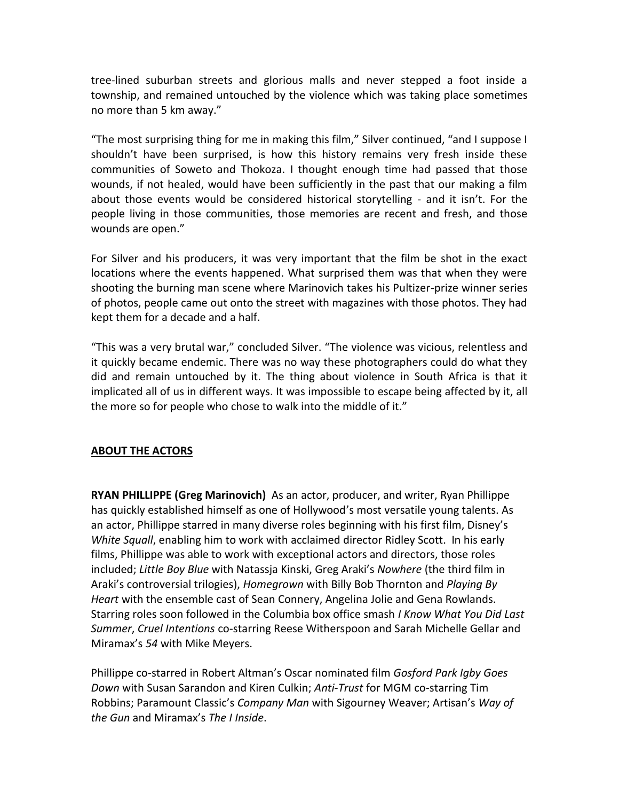tree‐lined suburban streets and glorious malls and never stepped a foot inside a township, and remained untouched by the violence which was taking place sometimes no more than 5 km away."

"The most surprising thing for me in making this film," Silver continued, "and I suppose I shouldn't have been surprised, is how this history remains very fresh inside these communities of Soweto and Thokoza. I thought enough time had passed that those wounds, if not healed, would have been sufficiently in the past that our making a film about those events would be considered historical storytelling  $-$  and it isn't. For the people living in those communities, those memories are recent and fresh, and those wounds are open."

For Silver and his producers, it was very important that the film be shot in the exact locations where the events happened. What surprised them was that when they were shooting the burning man scene where Marinovich takes his Pultizer‐prize winner series of photos, people came out onto the street with magazines with those photos. They had kept them for a decade and a half.

"This was a very brutal war," concluded Silver. "The violence was vicious, relentless and it quickly became endemic. There was no way these photographers could do what they did and remain untouched by it. The thing about violence in South Africa is that it implicated all of us in different ways. It was impossible to escape being affected by it, all the more so for people who chose to walk into the middle of it."

#### **ABOUT THE ACTORS**

**RYAN PHILLIPPE (Greg Marinovich)** As an actor, producer, and writer, Ryan Phillippe has quickly established himself as one of Hollywood's most versatile young talents. As an actor, Phillippe starred in many diverse roles beginning with his first film, Disney's *White Squall*, enabling him to work with acclaimed director Ridley Scott. In his early films, Phillippe was able to work with exceptional actors and directors, those roles included; *Little Boy Blue* with Natassia Kinski, Greg Araki's *Nowhere* (the third film in Araki's controversial trilogies), Homegrown with Billy Bob Thornton and *Playing By Heart* with the ensemble cast of Sean Connery, Angelina Jolie and Gena Rowlands. Starring roles soon followed in the Columbia box office smash *I Know What You Did Last Summer*, *Cruel Intentions* co‐starring Reese Witherspoon and Sarah Michelle Gellar and Miramax's 54 with Mike Meyers.

Phillippe co-starred in Robert Altman's Oscar nominated film Gosford Park Igby Goes *Down* with Susan Sarandon and Kiren Culkin; *Anti‐Trust* for MGM co‐starring Tim Robbins; Paramount Classic's Company Man with Sigourney Weaver; Artisan's Way of *the Gun* and Miramax's The *I Inside*.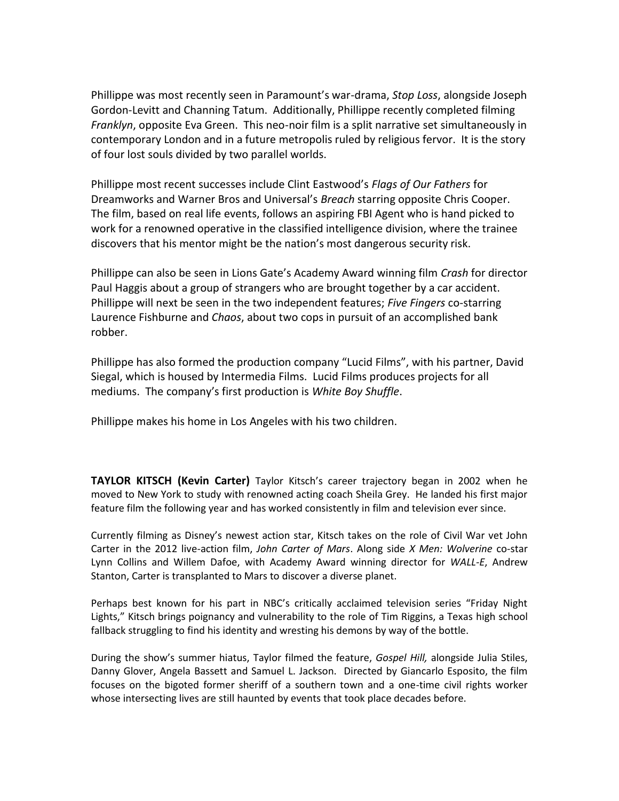Phillippe was most recently seen in Paramount's war-drama, *Stop Loss*, alongside Joseph Gordon‐Levitt and Channing Tatum. Additionally, Phillippe recently completed filming *Franklyn*, opposite Eva Green. This neo‐noir film is a split narrative set simultaneously in contemporary London and in a future metropolis ruled by religious fervor. It is the story of four lost souls divided by two parallel worlds.

Phillippe most recent successes include Clint Eastwood's Flags of Our Fathers for Dreamworks and Warner Bros and Universal's Breach starring opposite Chris Cooper. The film, based on real life events, follows an aspiring FBI Agent who is hand picked to work for a renowned operative in the classified intelligence division, where the trainee discovers that his mentor might be the nation's most dangerous security risk.

Phillippe can also be seen in Lions Gate's Academy Award winning film Crash for director Paul Haggis about a group of strangers who are brought together by a car accident. Phillippe will next be seen in the two independent features; *Five Fingers* co‐starring Laurence Fishburne and *Chaos*, about two cops in pursuit of an accomplished bank robber.

Phillippe has also formed the production company "Lucid Films", with his partner, David Siegal, which is housed by Intermedia Films. Lucid Films produces projects for all mediums. The company's first production is White Boy Shuffle.

Phillippe makes his home in Los Angeles with his two children.

**TAYLOR KITSCH (Kevin Carter)** Taylor Kitsch's career trajectory began in 2002 when he moved to New York to study with renowned acting coach Sheila Grey. He landed his first major feature film the following year and has worked consistently in film and television ever since.

Currently filming as Disney's newest action star, Kitsch takes on the role of Civil War vet John Carter in the 2012 live‐action film, *John Carter of Mars*. Along side *X Men: Wolverine* co‐star Lynn Collins and Willem Dafoe, with Academy Award winning director for *WALL‐E*, Andrew Stanton, Carter is transplanted to Mars to discover a diverse planet.

Perhaps best known for his part in NBC's critically acclaimed television series "Friday Night Lights," Kitsch brings poignancy and vulnerability to the role of Tim Riggins, a Texas high school fallback struggling to find his identity and wresting his demons by way of the bottle.

During the show's summer hiatus, Taylor filmed the feature, Gospel Hill, alongside Julia Stiles, Danny Glover, Angela Bassett and Samuel L. Jackson. Directed by Giancarlo Esposito, the film focuses on the bigoted former sheriff of a southern town and a one-time civil rights worker whose intersecting lives are still haunted by events that took place decades before.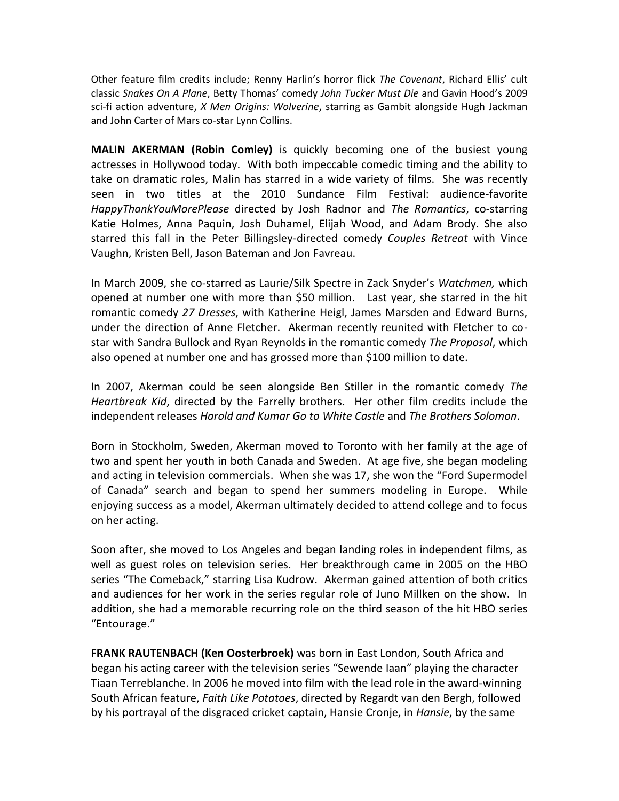Other feature film credits include; Renny Harlin's horror flick The Covenant, Richard Ellis' cult classic Snakes On A Plane, Betty Thomas' comedy John Tucker Must Die and Gavin Hood's 2009 sci‐fi action adventure, *X Men Origins: Wolverine*, starring as Gambit alongside Hugh Jackman and John Carter of Mars co‐star Lynn Collins.

**MALIN AKERMAN (Robin Comley)** is quickly becoming one of the busiest young actresses in Hollywood today. With both impeccable comedic timing and the ability to take on dramatic roles, Malin has starred in a wide variety of films. She was recently seen in two titles at the 2010 Sundance Film Festival: audience-favorite *HappyThankYouMorePlease* directed by Josh Radnor and *The Romantics*, co‐starring Katie Holmes, Anna Paquin, Josh Duhamel, Elijah Wood, and Adam Brody. She also starred this fall in the Peter Billingsley‐directed comedy *Couples Retreat* with Vince Vaughn, Kristen Bell, Jason Bateman and Jon Favreau.

In March 2009, she co-starred as Laurie/Silk Spectre in Zack Snyder's Watchmen, which opened at number one with more than \$50 million. Last year, she starred in the hit romantic comedy *27 Dresses*, with Katherine Heigl, James Marsden and Edward Burns, under the direction of Anne Fletcher. Akerman recently reunited with Fletcher to costar with Sandra Bullock and Ryan Reynolds in the romantic comedy *The Proposal*, which also opened at number one and has grossed more than \$100 million to date.

In 2007, Akerman could be seen alongside Ben Stiller in the romantic comedy *The Heartbreak Kid*, directed by the Farrelly brothers. Her other film credits include the independent releases *Harold and Kumar Go to White Castle* and *The Brothers Solomon*.

Born in Stockholm, Sweden, Akerman moved to Toronto with her family at the age of two and spent her youth in both Canada and Sweden. At age five, she began modeling and acting in television commercials. When she was 17, she won the "Ford Supermodel of Canada" search and began to spend her summers modeling in Europe. While enjoying success as a model, Akerman ultimately decided to attend college and to focus on her acting.

Soon after, she moved to Los Angeles and began landing roles in independent films, as well as guest roles on television series. Her breakthrough came in 2005 on the HBO series "The Comeback," starring Lisa Kudrow. Akerman gained attention of both critics and audiences for her work in the series regular role of Juno Millken on the show. In addition, she had a memorable recurring role on the third season of the hit HBO series "Entourage."

**FRANK RAUTENBACH (Ken Oosterbroek)** was born in East London, South Africa and began his acting career with the television series "Sewende Iaan" playing the character Tiaan Terreblanche. In 2006 he moved into film with the lead role in the award‐winning South African feature, *Faith Like Potatoes*, directed by Regardt van den Bergh, followed by his portrayal of the disgraced cricket captain, Hansie Cronje, in *Hansie*, by the same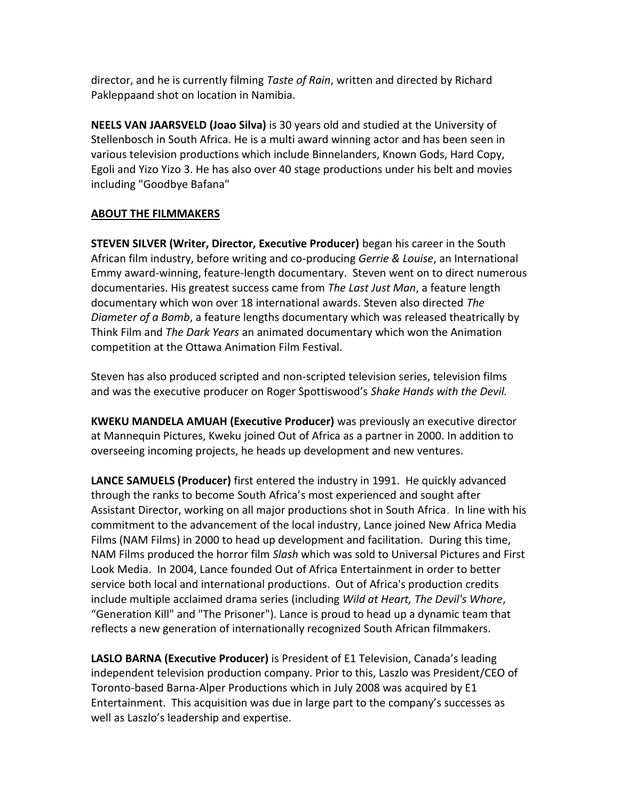director, and he is currently filming *Taste of Rain*, written and directed by Richard Pakleppaand shot on location in Namibia.

**NEELS VAN JAARSVELD (Joao Silva)** is 30 years old and studied at the University of Stellenbosch in South Africa. He is a multi award winning actor and has been seen in various television productions which include Binnelanders, Known Gods, Hard Copy, Egoli and Yizo Yizo 3. He has also over 40 stage productions under his belt and movies including "Goodbye Bafana"

#### **ABOUT THE FILMMAKERS**

**STEVEN SILVER (Writer, Director, Executive Producer)** began his career in the South African film industry, before writing and co‐producing *Gerrie & Louise*, an International Emmy award‐winning, feature‐length documentary. Steven went on to direct numerous documentaries. His greatest success came from *The Last Just Man*, a feature length documentary which won over 18 international awards. Steven also directed *The Diameter of a Bomb*, a feature lengths documentary which was released theatrically by Think Film and *The Dark Years* an animated documentary which won the Animation competition at the Ottawa Animation Film Festival.

Steven has also produced scripted and non‐scripted television series, television films and was the executive producer on Roger Spottiswood's Shake Hands with the Devil.

**KWEKU MANDELA AMUAH (Executive Producer)** was previously an executive director at Mannequin Pictures, Kweku joined Out of Africa as a partner in 2000. In addition to overseeing incoming projects, he heads up development and new ventures.

**LANCE SAMUELS (Producer)** first entered the industry in 1991. He quickly advanced through the ranks to become South Africa's most experienced and sought after Assistant Director, working on all major productions shot in South Africa. In line with his commitment to the advancement of the local industry, Lance joined New Africa Media Films (NAM Films) in 2000 to head up development and facilitation. During this time, NAM Films produced the horror film *Slash* which was sold to Universal Pictures and First Look Media. In 2004, Lance founded Out of Africa Entertainment in order to better service both local and international productions. Out of Africa's production credits include multiple acclaimed drama series (including *Wild at Heart, The Devil's Whore*, "Generation Kill" and "The Prisoner"). Lance is proud to head up a dynamic team that reflects a new generation of internationally recognized South African filmmakers.

**LASLO BARNA (Executive Producer) is President of E1 Television, Canada's leading** independent television production company. Prior to this, Laszlo was President/CEO of Toronto‐based Barna‐Alper Productions which in July 2008 was acquired by E1 Entertainment. This acquisition was due in large part to the company's successes as well as Laszlo's leadership and expertise.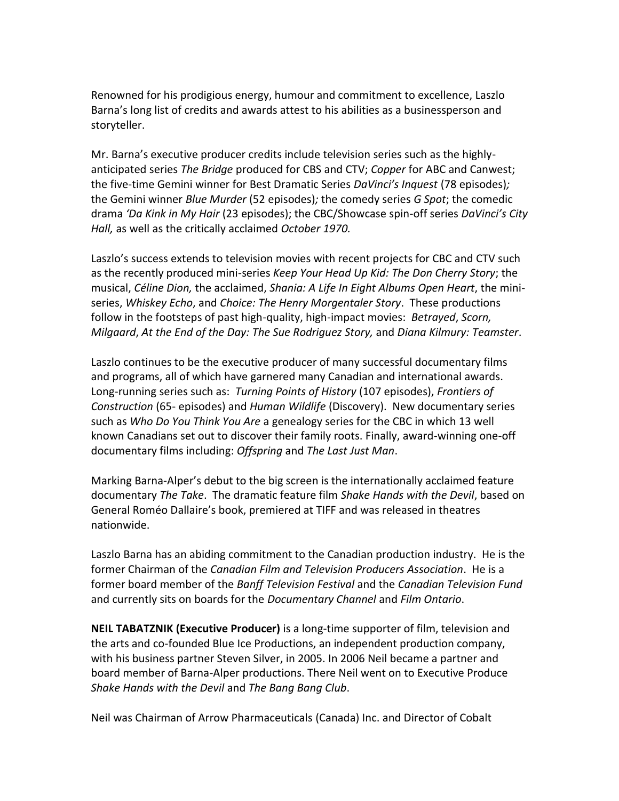Renowned for his prodigious energy, humour and commitment to excellence, Laszlo Barna's long list of credits and awards attest to his abilities as a businessperson and storyteller.

Mr. Barna's executive producer credits include television series such as the highlyanticipated series *The Bridge* produced for CBS and CTV; *Copper* for ABC and Canwest; the five‐time Gemini winner for Best Dramatic Series *DaVinci's Inquest* (78 episodes)*;* the Gemini winner *Blue Murder* (52 episodes)*;* the comedy series *G Spot*; the comedic drama *'Da Kink in My Hair* (23 episodes); the CBC/Showcase spin‐off series *DaVinci's City Hall,* as well as the critically acclaimed *October 1970.*

Laszlo's success extends to television movies with recent projects for CBC and CTV such as the recently produced mini‐series *Keep Your Head Up Kid: The Don Cherry Story*; the musical, *Céline Dion,* the acclaimed, *Shania: A Life In Eight Albums Open Heart*, the mini‐ series, *Whiskey Echo*, and *Choice: The Henry Morgentaler Story*. These productions follow in the footsteps of past high‐quality, high‐impact movies: *Betrayed*, *Scorn, Milgaard*, *At the End of the Day: The Sue Rodriguez Story,* and *Diana Kilmury: Teamster*.

Laszlo continues to be the executive producer of many successful documentary films and programs, all of which have garnered many Canadian and international awards. Long‐running series such as: *Turning Points of History* (107 episodes), *Frontiers of Construction* (65‐ episodes) and *Human Wildlife* (Discovery). New documentary series such as *Who Do You Think You Are* a genealogy series for the CBC in which 13 well known Canadians set out to discover their family roots. Finally, award-winning one-off documentary films including: *Offspring* and *The Last Just Man*.

Marking Barna-Alper's debut to the big screen is the internationally acclaimed feature documentary *The Take*. The dramatic feature film *Shake Hands with the Devil*, based on General Roméo Dallaire's book, premiered at TIFF and was released in theatres nationwide.

Laszlo Barna has an abiding commitment to the Canadian production industry. He is the former Chairman of the *Canadian Film and Television Producers Association*. He is a former board member of the *Banff Television Festival* and the *Canadian Television Fund* and currently sits on boards for the *Documentary Channel* and *Film Ontario*.

**NEIL TABATZNIK (Executive Producer)** is a long‐time supporter of film, television and the arts and co‐founded Blue Ice Productions, an independent production company, with his business partner Steven Silver, in 2005. In 2006 Neil became a partner and board member of Barna‐Alper productions. There Neil went on to Executive Produce *Shake Hands with the Devil* and *The Bang Bang Club*.

Neil was Chairman of Arrow Pharmaceuticals (Canada) Inc. and Director of Cobalt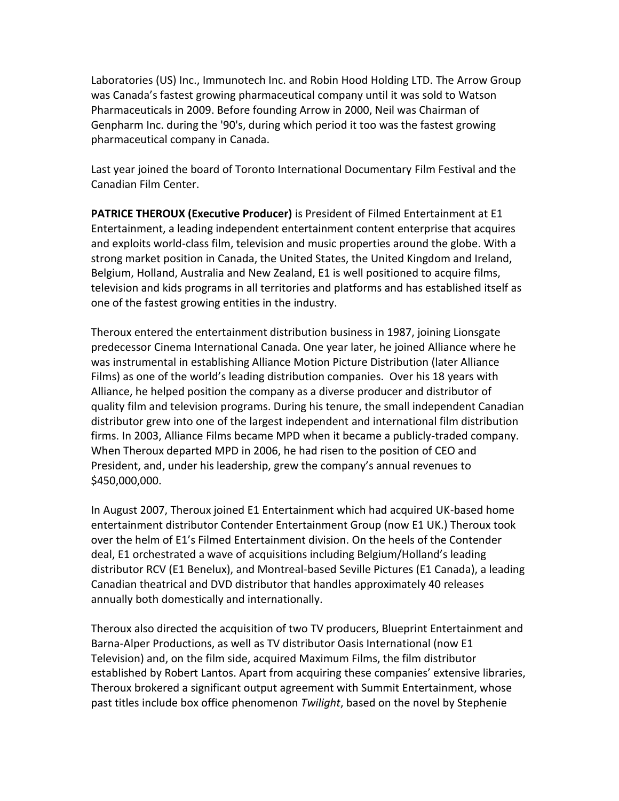Laboratories (US) Inc., Immunotech Inc. and Robin Hood Holding LTD. The Arrow Group was Canada's fastest growing pharmaceutical company until it was sold to Watson Pharmaceuticals in 2009. Before founding Arrow in 2000, Neil was Chairman of Genpharm Inc. during the '90's, during which period it too was the fastest growing pharmaceutical company in Canada.

Last year joined the board of Toronto International Documentary Film Festival and the Canadian Film Center.

**PATRICE THEROUX (Executive Producer)** is President of Filmed Entertainment at E1 Entertainment, a leading independent entertainment content enterprise that acquires and exploits world-class film, television and music properties around the globe. With a strong market position in Canada, the United States, the United Kingdom and Ireland, Belgium, Holland, Australia and New Zealand, E1 is well positioned to acquire films, television and kids programs in all territories and platforms and has established itself as one of the fastest growing entities in the industry.

Theroux entered the entertainment distribution business in 1987, joining Lionsgate predecessor Cinema International Canada. One year later, he joined Alliance where he was instrumental in establishing Alliance Motion Picture Distribution (later Alliance Films) as one of the world's leading distribution companies. Over his 18 years with Alliance, he helped position the company as a diverse producer and distributor of quality film and television programs. During his tenure, the small independent Canadian distributor grew into one of the largest independent and international film distribution firms. In 2003, Alliance Films became MPD when it became a publicly-traded company. When Theroux departed MPD in 2006, he had risen to the position of CEO and President, and, under his leadership, grew the company's annual revenues to \$450,000,000.

In August 2007, Theroux joined E1 Entertainment which had acquired UK-based home entertainment distributor Contender Entertainment Group (now E1 UK.) Theroux took over the helm of E1's Filmed Entertainment division. On the heels of the Contender deal, E1 orchestrated a wave of acquisitions including Belgium/Holland's leading distributor RCV (E1 Benelux), and Montreal-based Seville Pictures (E1 Canada), a leading Canadian theatrical and DVD distributor that handles approximately 40 releases annually both domestically and internationally.

Theroux also directed the acquisition of two TV producers, Blueprint Entertainment and Barna-Alper Productions, as well as TV distributor Oasis International (now E1 Television) and, on the film side, acquired Maximum Films, the film distributor established by Robert Lantos. Apart from acquiring these companies' extensive libraries, Theroux brokered a significant output agreement with Summit Entertainment, whose past titles include box office phenomenon Twilight, based on the novel by Stephenie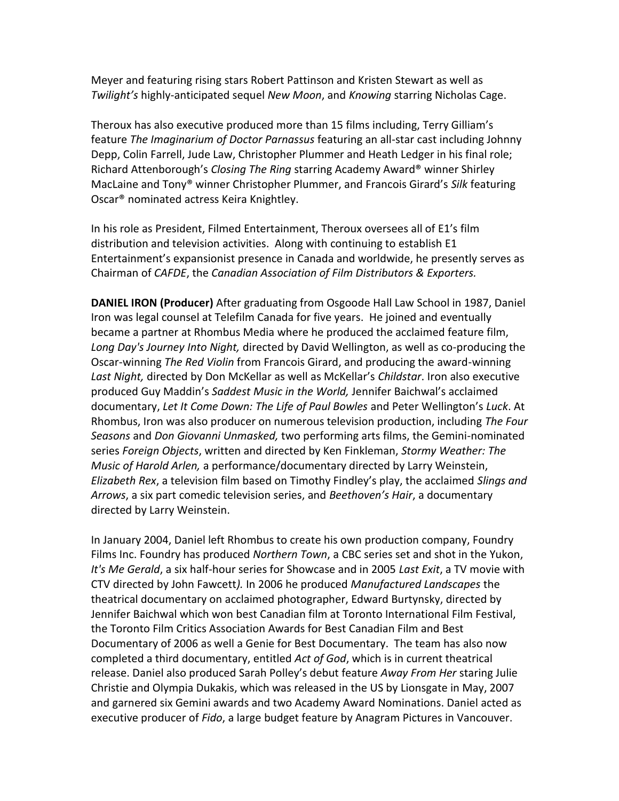Meyer and featuring rising stars Robert Pattinson and Kristen Stewart as well as Twilight's highly-anticipated sequel New Moon, and Knowing starring Nicholas Cage.

Theroux has also executive produced more than 15 films including, Terry Gilliam's feature The Imagingrium of Doctor Parnassus featuring an all-star cast including Johnny Depp, Colin Farrell, Jude Law, Christopher Plummer and Heath Ledger in his final role; Richard Attenborough's Closing The Ring starring Academy Award® winner Shirley MacLaine and Tony® winner Christopher Plummer, and Francois Girard's Silk featuring Oscar<sup>®</sup> nominated actress Keira Knightley.

In his role as President, Filmed Entertainment, Theroux oversees all of E1's film distribution and television activities. Along with continuing to establish E1 Entertainment's expansionist presence in Canada and worldwide, he presently serves as Chairman of CAFDE, the Canadian Association of Film Distributors & Exporters.

DANIEL IRON (Producer) After graduating from Osgoode Hall Law School in 1987, Daniel Iron was legal counsel at Telefilm Canada for five years. He joined and eventually became a partner at Rhombus Media where he produced the acclaimed feature film, Long Day's Journey Into Night, directed by David Wellington, as well as co-producing the Oscar-winning The Red Violin from Francois Girard, and producing the award-winning Last Night, directed by Don McKellar as well as McKellar's Childstar. Iron also executive produced Guy Maddin's Saddest Music in the World, Jennifer Baichwal's acclaimed documentary, Let It Come Down: The Life of Paul Bowles and Peter Wellington's Luck. At Rhombus, Iron was also producer on numerous television production, including The Four Seasons and Don Giovanni Unmasked, two performing arts films, the Gemini-nominated series Foreign Objects, written and directed by Ken Finkleman, Stormy Weather: The Music of Harold Arlen, a performance/documentary directed by Larry Weinstein, Elizabeth Rex, a television film based on Timothy Findley's play, the acclaimed Slings and Arrows, a six part comedic television series, and Beethoven's Hair, a documentary directed by Larry Weinstein.

In January 2004, Daniel left Rhombus to create his own production company, Foundry Films Inc. Foundry has produced Northern Town, a CBC series set and shot in the Yukon, It's Me Gerald, a six half-hour series for Showcase and in 2005 Last Exit, a TV movie with CTV directed by John Fawcett). In 2006 he produced Manufactured Landscapes the theatrical documentary on acclaimed photographer, Edward Burtynsky, directed by Jennifer Baichwal which won best Canadian film at Toronto International Film Festival, the Toronto Film Critics Association Awards for Best Canadian Film and Best Documentary of 2006 as well a Genie for Best Documentary. The team has also now completed a third documentary, entitled Act of God, which is in current theatrical release. Daniel also produced Sarah Polley's debut feature Away From Her staring Julie Christie and Olympia Dukakis, which was released in the US by Lionsgate in May, 2007 and garnered six Gemini awards and two Academy Award Nominations. Daniel acted as executive producer of Fido, a large budget feature by Anagram Pictures in Vancouver.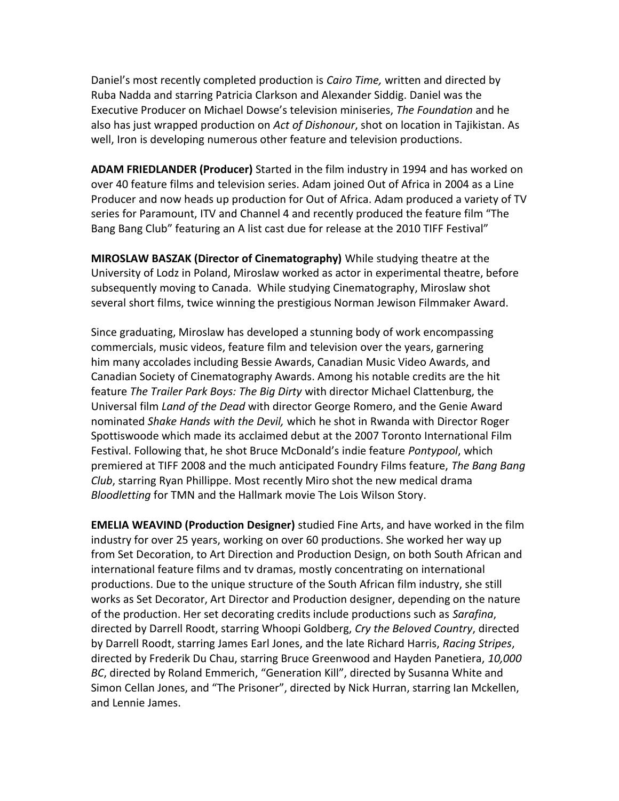Daniel's most recently completed production is Cairo Time, written and directed by Ruba Nadda and starring Patricia Clarkson and Alexander Siddig. Daniel was the Executive Producer on Michael Dowse's television miniseries, The Foundation and he also has just wrapped production on Act of Dishonour, shot on location in Tajikistan. As well, Iron is developing numerous other feature and television productions.

ADAM FRIEDLANDER (Producer) Started in the film industry in 1994 and has worked on over 40 feature films and television series. Adam joined Out of Africa in 2004 as a Line Producer and now heads up production for Out of Africa. Adam produced a variety of TV series for Paramount, ITV and Channel 4 and recently produced the feature film "The Bang Bang Club" featuring an A list cast due for release at the 2010 TIFF Festival"

**MIROSLAW BASZAK (Director of Cinematography)** While studying theatre at the University of Lodz in Poland, Miroslaw worked as actor in experimental theatre, before subsequently moving to Canada. While studying Cinematography, Miroslaw shot several short films, twice winning the prestigious Norman Jewison Filmmaker Award.

Since graduating, Miroslaw has developed a stunning body of work encompassing commercials, music videos, feature film and television over the years, garnering him many accolades including Bessie Awards, Canadian Music Video Awards, and Canadian Society of Cinematography Awards. Among his notable credits are the hit feature The Trailer Park Boys: The Big Dirty with director Michael Clattenburg, the Universal film Land of the Dead with director George Romero, and the Genie Award nominated Shake Hands with the Devil, which he shot in Rwanda with Director Roger Spottiswoode which made its acclaimed debut at the 2007 Toronto International Film Festival. Following that, he shot Bruce McDonald's indie feature Pontypool, which premiered at TIFF 2008 and the much anticipated Foundry Films feature, The Bang Bang Club, starring Ryan Phillippe. Most recently Miro shot the new medical drama Bloodletting for TMN and the Hallmark movie The Lois Wilson Story.

**EMELIA WEAVIND (Production Designer)** studied Fine Arts, and have worked in the film industry for over 25 years, working on over 60 productions. She worked her way up from Set Decoration, to Art Direction and Production Design, on both South African and international feature films and ty dramas, mostly concentrating on international productions. Due to the unique structure of the South African film industry, she still works as Set Decorator, Art Director and Production designer, depending on the nature of the production. Her set decorating credits include productions such as Sarafina, directed by Darrell Roodt, starring Whoopi Goldberg, Cry the Beloved Country, directed by Darrell Roodt, starring James Earl Jones, and the late Richard Harris, Racing Stripes, directed by Frederik Du Chau, starring Bruce Greenwood and Hayden Panetiera, 10,000 BC, directed by Roland Emmerich, "Generation Kill", directed by Susanna White and Simon Cellan Jones, and "The Prisoner", directed by Nick Hurran, starring Ian Mckellen, and Lennie James.